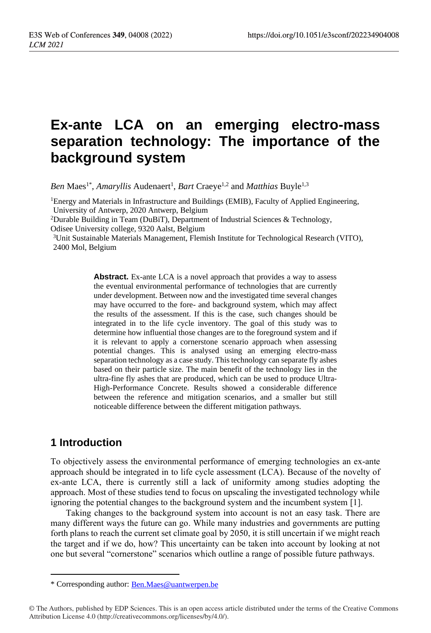# **Ex-ante LCA on an emerging electro-mass separation technology: The importance of the background system**

*Ben* Maes<sup>1\*</sup>, *Amaryllis* Audenaert<sup>1</sup>, *Bart* Craeye<sup>1,2</sup> and *Matthias* Buyle<sup>1,3</sup>

<sup>1</sup>Energy and Materials in Infrastructure and Buildings (EMIB), Faculty of Applied Engineering, University of Antwerp, 2020 Antwerp, Belgium

<sup>2</sup>Durable Building in Team (DuBiT), Department of Industrial Sciences & Technology, Odisee University college, 9320 Aalst, Belgium

<sup>3</sup>Unit Sustainable Materials Management, Flemish Institute for Technological Research (VITO), 2400 Mol, Belgium

> **Abstract.** Ex-ante LCA is a novel approach that provides a way to assess the eventual environmental performance of technologies that are currently under development. Between now and the investigated time several changes may have occurred to the fore- and background system, which may affect the results of the assessment. If this is the case, such changes should be integrated in to the life cycle inventory. The goal of this study was to determine how influential those changes are to the foreground system and if it is relevant to apply a cornerstone scenario approach when assessing potential changes. This is analysed using an emerging electro-mass separation technology as a case study. This technology can separate fly ashes based on their particle size. The main benefit of the technology lies in the ultra-fine fly ashes that are produced, which can be used to produce Ultra-High-Performance Concrete. Results showed a considerable difference between the reference and mitigation scenarios, and a smaller but still noticeable difference between the different mitigation pathways.

### **1 Introduction**

To objectively assess the environmental performance of emerging technologies an ex-ante approach should be integrated in to life cycle assessment (LCA). Because of the novelty of ex-ante LCA, there is currently still a lack of uniformity among studies adopting the approach. Most of these studies tend to focus on upscaling the investigated technology while ignoring the potential changes to the background system and the incumbent system [1].

Taking changes to the background system into account is not an easy task. There are many different ways the future can go. While many industries and governments are putting forth plans to reach the current set climate goal by 2050, it is still uncertain if we might reach the target and if we do, how? This uncertainty can be taken into account by looking at not one but several "cornerstone" scenarios which outline a range of possible future pathways.

<sup>\*</sup> Corresponding author: Ben.Maes@uantwerpen.be

<sup>©</sup> The Authors, published by EDP Sciences. This is an open access article distributed under the terms of the Creative Commons Attribution License 4.0 (http://creativecommons.org/licenses/by/4.0/).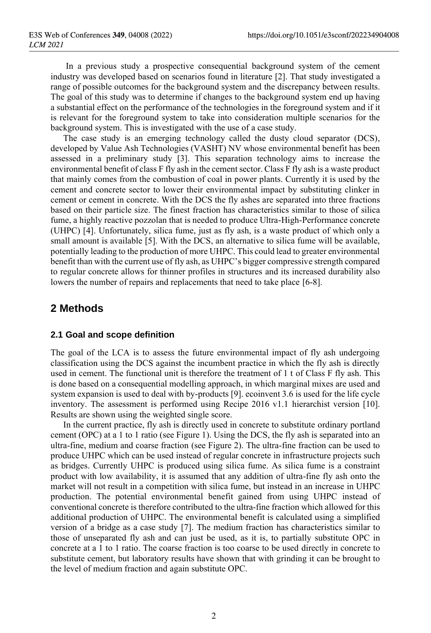In a previous study a prospective consequential background system of the cement industry was developed based on scenarios found in literature [2]. That study investigated a range of possible outcomes for the background system and the discrepancy between results. The goal of this study was to determine if changes to the background system end up having a substantial effect on the performance of the technologies in the foreground system and if it is relevant for the foreground system to take into consideration multiple scenarios for the background system. This is investigated with the use of a case study.

The case study is an emerging technology called the dusty cloud separator (DCS), developed by Value Ash Technologies (VASHT) NV whose environmental benefit has been assessed in a preliminary study [3]. This separation technology aims to increase the environmental benefit of class F fly ash in the cement sector. Class F fly ash is a waste product that mainly comes from the combustion of coal in power plants. Currently it is used by the cement and concrete sector to lower their environmental impact by substituting clinker in cement or cement in concrete. With the DCS the fly ashes are separated into three fractions based on their particle size. The finest fraction has characteristics similar to those of silica fume, a highly reactive pozzolan that is needed to produce Ultra-High-Performance concrete (UHPC) [4]. Unfortunately, silica fume, just as fly ash, is a waste product of which only a small amount is available [5]. With the DCS, an alternative to silica fume will be available, potentially leading to the production of more UHPC. This could lead to greater environmental benefit than with the current use of fly ash, as UHPC's bigger compressive strength compared to regular concrete allows for thinner profiles in structures and its increased durability also lowers the number of repairs and replacements that need to take place [6-8].

### **2 Methods**

#### **2.1 Goal and scope definition**

The goal of the LCA is to assess the future environmental impact of fly ash undergoing classification using the DCS against the incumbent practice in which the fly ash is directly used in cement. The functional unit is therefore the treatment of 1 t of Class F fly ash. This is done based on a consequential modelling approach, in which marginal mixes are used and system expansion is used to deal with by-products [9]. ecoinvent 3.6 is used for the life cycle inventory. The assessment is performed using Recipe 2016 v1.1 hierarchist version [10]. Results are shown using the weighted single score.

In the current practice, fly ash is directly used in concrete to substitute ordinary portland cement (OPC) at a 1 to 1 ratio (see [Figure 1\)](#page-2-0). Using the DCS, the fly ash is separated into an ultra-fine, medium and coarse fraction (see [Figure 2\)](#page-2-1). The ultra-fine fraction can be used to produce UHPC which can be used instead of regular concrete in infrastructure projects such as bridges. Currently UHPC is produced using silica fume. As silica fume is a constraint product with low availability, it is assumed that any addition of ultra-fine fly ash onto the market will not result in a competition with silica fume, but instead in an increase in UHPC production. The potential environmental benefit gained from using UHPC instead of conventional concrete is therefore contributed to the ultra-fine fraction which allowed for this additional production of UHPC. The environmental benefit is calculated using a simplified version of a bridge as a case study [7]. The medium fraction has characteristics similar to those of unseparated fly ash and can just be used, as it is, to partially substitute OPC in concrete at a 1 to 1 ratio. The coarse fraction is too coarse to be used directly in concrete to substitute cement, but laboratory results have shown that with grinding it can be brought to the level of medium fraction and again substitute OPC.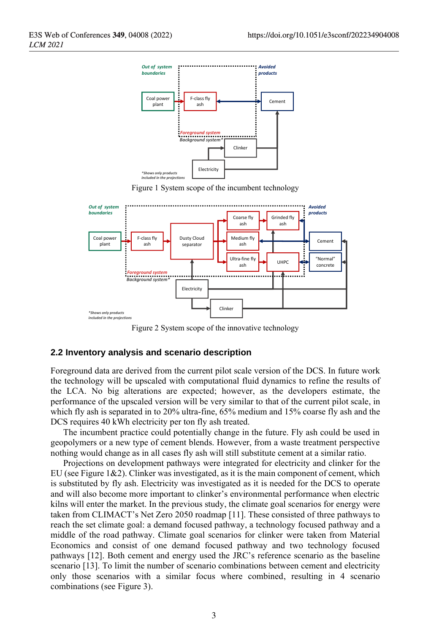

Figure 1 System scope of the incumbent technology

<span id="page-2-0"></span>

Figure 2 System scope of the innovative technology

#### <span id="page-2-1"></span>**2.2 Inventory analysis and scenario description**

Foreground data are derived from the current pilot scale version of the DCS. In future work the technology will be upscaled with computational fluid dynamics to refine the results of the LCA. No big alterations are expected; however, as the developers estimate, the performance of the upscaled version will be very similar to that of the current pilot scale, in which fly ash is separated in to 20% ultra-fine, 65% medium and 15% coarse fly ash and the DCS requires 40 kWh electricity per ton fly ash treated.

The incumbent practice could potentially change in the future. Fly ash could be used in geopolymers or a new type of cement blends. However, from a waste treatment perspective nothing would change as in all cases fly ash will still substitute cement at a similar ratio.

Projections on development pathways were integrated for electricity and clinker for the EU (see Figure 1&2). Clinker was investigated, as it is the main component of cement, which is substituted by fly ash. Electricity was investigated as it is needed for the DCS to operate and will also become more important to clinker's environmental performance when electric kilns will enter the market. In the previous study, the climate goal scenarios for energy were taken from CLIMACT's Net Zero 2050 roadmap [11]. These consisted of three pathways to reach the set climate goal: a demand focused pathway, a technology focused pathway and a middle of the road pathway. Climate goal scenarios for clinker were taken from Material Economics and consist of one demand focused pathway and two technology focused pathways [12]. Both cement and energy used the JRC's reference scenario as the baseline scenario [13]. To limit the number of scenario combinations between cement and electricity only those scenarios with a similar focus where combined, resulting in 4 scenario combinations (see [Figure 3\)](#page-3-0).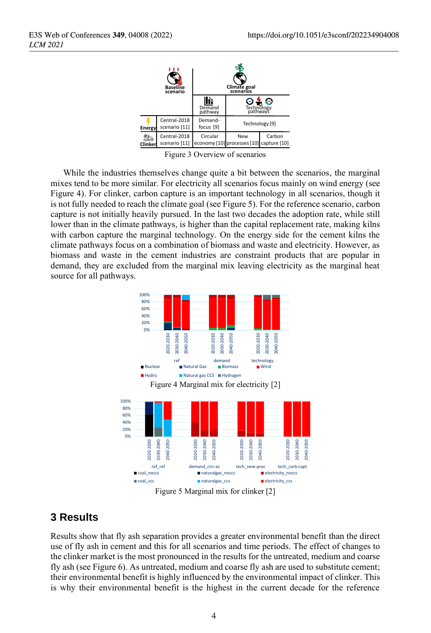

Figure 3 Overview of scenarios

<span id="page-3-0"></span>While the industries themselves change quite a bit between the scenarios, the marginal mixes tend to be more similar. For electricity all scenarios focus mainly on wind energy (see [Figure 4\)](#page-3-1). For clinker, carbon capture is an important technology in all scenarios, though it is not fully needed to reach the climate goal (see [Figure 5\)](#page-3-2). For the reference scenario, carbon capture is not initially heavily pursued. In the last two decades the adoption rate, while still lower than in the climate pathways, is higher than the capital replacement rate, making kilns with carbon capture the marginal technology. On the energy side for the cement kilns the climate pathways focus on a combination of biomass and waste and electricity. However, as biomass and waste in the cement industries are constraint products that are popular in demand, they are excluded from the marginal mix leaving electricity as the marginal heat source for all pathways.

<span id="page-3-1"></span>

### <span id="page-3-2"></span>**3 Results**

Results show that fly ash separation provides a greater environmental benefit than the direct use of fly ash in cement and this for all scenarios and time periods. The effect of changes to the clinker market is the most pronounced in the results for the untreated, medium and coarse fly ash (see [Figure 6\)](#page-4-0). As untreated, medium and coarse fly ash are used to substitute cement; their environmental benefit is highly influenced by the environmental impact of clinker. This is why their environmental benefit is the highest in the current decade for the reference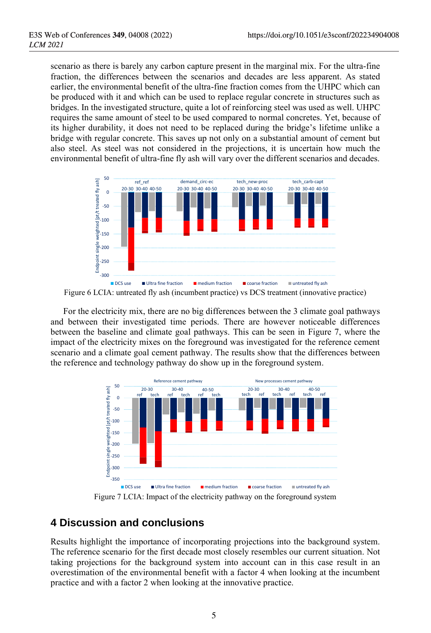scenario as there is barely any carbon capture present in the marginal mix. For the ultra-fine fraction, the differences between the scenarios and decades are less apparent. As stated earlier, the environmental benefit of the ultra-fine fraction comes from the UHPC which can be produced with it and which can be used to replace regular concrete in structures such as bridges. In the investigated structure, quite a lot of reinforcing steel was used as well. UHPC requires the same amount of steel to be used compared to normal concretes. Yet, because of its higher durability, it does not need to be replaced during the bridge's lifetime unlike a bridge with regular concrete. This saves up not only on a substantial amount of cement but also steel. As steel was not considered in the projections, it is uncertain how much the environmental benefit of ultra-fine fly ash will vary over the different scenarios and decades.



<span id="page-4-0"></span>Figure 6 LCIA: untreated fly ash (incumbent practice) vs DCS treatment (innovative practice)

For the electricity mix, there are no big differences between the 3 climate goal pathways and between their investigated time periods. There are however noticeable differences between the baseline and climate goal pathways. This can be seen in [Figure 7,](#page-4-1) where the impact of the electricity mixes on the foreground was investigated for the reference cement scenario and a climate goal cement pathway. The results show that the differences between the reference and technology pathway do show up in the foreground system.



Figure 7 LCIA: Impact of the electricity pathway on the foreground system

## <span id="page-4-1"></span>**4 Discussion and conclusions**

Results highlight the importance of incorporating projections into the background system. The reference scenario for the first decade most closely resembles our current situation. Not taking projections for the background system into account can in this case result in an overestimation of the environmental benefit with a factor 4 when looking at the incumbent practice and with a factor 2 when looking at the innovative practice.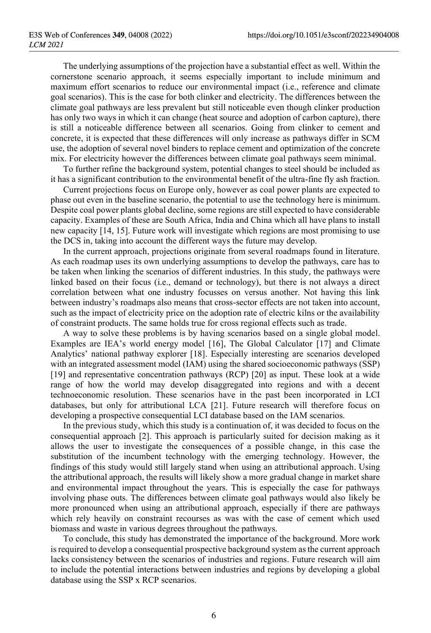The underlying assumptions of the projection have a substantial effect as well. Within the cornerstone scenario approach, it seems especially important to include minimum and maximum effort scenarios to reduce our environmental impact (i.e., reference and climate goal scenarios). This is the case for both clinker and electricity. The differences between the climate goal pathways are less prevalent but still noticeable even though clinker production has only two ways in which it can change (heat source and adoption of carbon capture), there is still a noticeable difference between all scenarios. Going from clinker to cement and concrete, it is expected that these differences will only increase as pathways differ in SCM use, the adoption of several novel binders to replace cement and optimization of the concrete mix. For electricity however the differences between climate goal pathways seem minimal.

To further refine the background system, potential changes to steel should be included as it has a significant contribution to the environmental benefit of the ultra-fine fly ash fraction.

Current projections focus on Europe only, however as coal power plants are expected to phase out even in the baseline scenario, the potential to use the technology here is minimum. Despite coal power plants global decline, some regions are still expected to have considerable capacity. Examples of these are South Africa, India and China which all have plans to install new capacity [14, 15]. Future work will investigate which regions are most promising to use the DCS in, taking into account the different ways the future may develop.

In the current approach, projections originate from several roadmaps found in literature. As each roadmap uses its own underlying assumptions to develop the pathways, care has to be taken when linking the scenarios of different industries. In this study, the pathways were linked based on their focus (i.e., demand or technology), but there is not always a direct correlation between what one industry focusses on versus another. Not having this link between industry's roadmaps also means that cross-sector effects are not taken into account, such as the impact of electricity price on the adoption rate of electric kilns or the availability of constraint products. The same holds true for cross regional effects such as trade.

A way to solve these problems is by having scenarios based on a single global model. Examples are IEA's world energy model [16], The Global Calculator [17] and Climate Analytics' national pathway explorer [18]. Especially interesting are scenarios developed with an integrated assessment model (IAM) using the shared socioeconomic pathways (SSP) [19] and representative concentration pathways (RCP) [20] as input. These look at a wide range of how the world may develop disaggregated into regions and with a decent technoeconomic resolution. These scenarios have in the past been incorporated in LCI databases, but only for attributional LCA [21]. Future research will therefore focus on developing a prospective consequential LCI database based on the IAM scenarios.

In the previous study, which this study is a continuation of, it was decided to focus on the consequential approach [2]. This approach is particularly suited for decision making as it allows the user to investigate the consequences of a possible change, in this case the substitution of the incumbent technology with the emerging technology. However, the findings of this study would still largely stand when using an attributional approach. Using the attributional approach, the results will likely show a more gradual change in market share and environmental impact throughout the years. This is especially the case for pathways involving phase outs. The differences between climate goal pathways would also likely be more pronounced when using an attributional approach, especially if there are pathways which rely heavily on constraint recourses as was with the case of cement which used biomass and waste in various degrees throughout the pathways.

To conclude, this study has demonstrated the importance of the background. More work is required to develop a consequential prospective background system as the current approach lacks consistency between the scenarios of industries and regions. Future research will aim to include the potential interactions between industries and regions by developing a global database using the SSP x RCP scenarios.